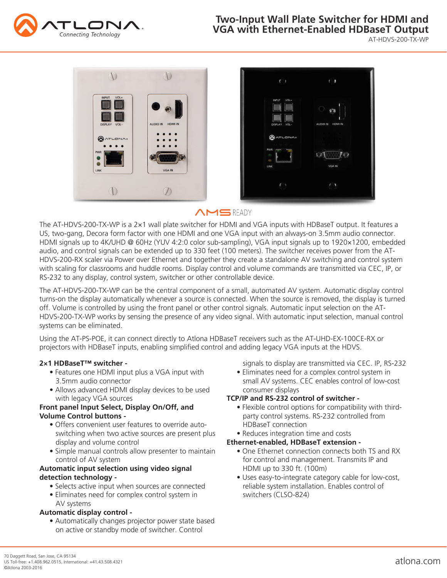

AT-HDVS-200-TX-WP



# **AMSREADY**

The AT-HDVS-200-TX-WP is a 2×1 wall plate switcher for HDMI and VGA inputs with HDBaseT output. It features a US, two-gang, Decora form factor with one HDMI and one VGA input with an always-on 3.5mm audio connector. HDMI signals up to 4K/UHD @ 60Hz (YUV 4:2:0 color sub-sampling), VGA input signals up to 1920×1200, embedded audio, and control signals can be extended up to 330 feet (100 meters). The switcher receives power from the AT-HDVS-200-RX scaler via Power over Ethernet and together they create a standalone AV switching and control system with scaling for classrooms and huddle rooms. Display control and volume commands are transmitted via CEC, IP, or RS-232 to any display, control system, switcher or other controllable device.

The AT-HDVS-200-TX-WP can be the central component of a small, automated AV system. Automatic display control turns-on the display automatically whenever a source is connected. When the source is removed, the display is turned off. Volume is controlled by using the front panel or other control signals. Automatic input selection on the AT-HDVS-200-TX-WP works by sensing the presence of any video signal. With automatic input selection, manual control systems can be eliminated.

Using the AT-PS-POE, it can connect directly to Atlona HDBaseT receivers such as the AT-UHD-EX-100CE-RX or projectors with HDBaseT inputs, enabling simplified control and adding legacy VGA inputs at the HDVS.

#### **2×1 HDBaseT™ switcher -**

- Features one HDMI input plus a VGA input with 3.5mm audio connector
- Allows advanced HDMI display devices to be used with legacy VGA sources

#### **Front panel Input Select, Display On/Off, and Volume Control buttons -**

- Offers convenient user features to override auto switching when two active sources are present plus display and volume control
- Simple manual controls allow presenter to maintain control of AV system

#### **Automatic input selection using video signal detection technology -**

- Selects active input when sources are connected
- Eliminates need for complex control system in AV systems

#### **Automatic display control -**

 • Automatically changes projector power state based on active or standby mode of switcher. Control

signals to display are transmitted via CEC. IP, RS-232

 • Eliminates need for a complex control system in small AV systems. CEC enables control of low-cost consumer displays

#### **TCP/IP and RS-232 control of switcher -**

- Flexible control options for compatibility with third party control systems. RS-232 controlled from HDBaseT connection
- Reduces integration time and costs
- **Ethernet-enabled, HDBaseT extension -**
	- One Ethernet connection connects both TS and RX for control and management. Transmits IP and HDMI up to 330 ft. (100m)
	- Uses easy-to-integrate category cable for low-cost, reliable system installation. Enables control of switchers (CLSO-824)